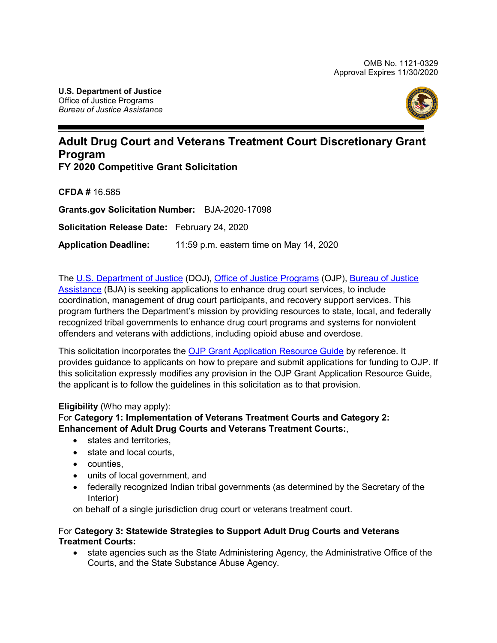

# **Adult Drug Court and Veterans Treatment Court Discretionary Grant Program**

**FY 2020 Competitive Grant Solicitation**

**CFDA #** 16.585

**Grants.gov Solicitation Number:** BJA-2020-17098

**Solicitation Release Date:** February 24, 2020

**Application Deadline:** 11:59 p.m. eastern time on May 14, 2020

The [U.S. Department of Justice](http://www.justice.gov/) (DOJ), [Office of Justice Programs](https://ojp.gov/) (OJP), [Bureau of Justice](https://www.bja.gov/) [Assistance](https://www.bja.gov/) (BJA) is seeking applications to enhance drug court services, to include coordination, management of drug court participants, and recovery support services. This program furthers the Department's mission by providing resources to state, local, and federally recognized tribal governments to enhance drug court programs and systems for nonviolent offenders and veterans with addictions, including opioid abuse and overdose.

This solicitation incorporates the [OJP Grant Application Resource Guide](https://www.ojp.gov/funding/Apply/Resources/Grant-App-Resource-Guide.htm) by reference. It provides guidance to applicants on how to prepare and submit applications for funding to OJP. If this solicitation expressly modifies any provision in the OJP Grant Application Resource Guide, the applicant is to follow the guidelines in this solicitation as to that provision.

### **Eligibility** (Who may apply):

### For **Category 1: Implementation of Veterans Treatment Courts and Category 2: Enhancement of Adult Drug Courts and Veterans Treatment Courts:**,

- states and territories,
- state and local courts,
- counties,
- units of local government, and
- federally recognized Indian tribal governments (as determined by the Secretary of the Interior)

on behalf of a single jurisdiction drug court or veterans treatment court.

### For **Category 3: Statewide Strategies to Support Adult Drug Courts and Veterans Treatment Courts:**

• state agencies such as the State Administering Agency, the Administrative Office of the Courts, and the State Substance Abuse Agency.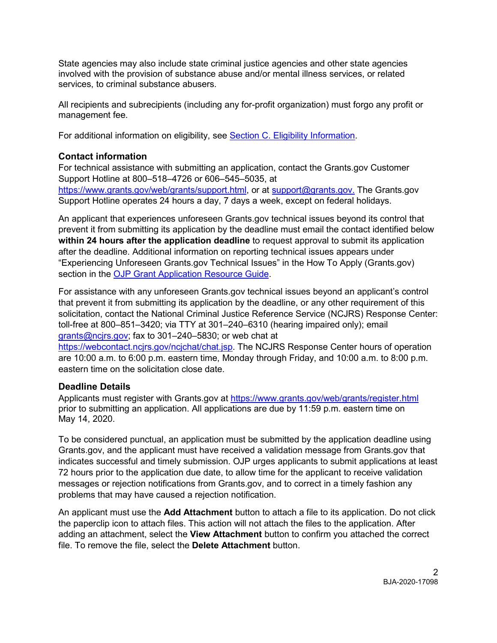State agencies may also include state criminal justice agencies and other state agencies involved with the provision of substance abuse and/or mental illness services, or related services, to criminal substance abusers.

All recipients and subrecipients (including any for-profit organization) must forgo any profit or management fee.

For additional information on eligibility, see [Section C. Eligibility Information.](#page-10-0)

### **Contact information**

For technical assistance with submitting an application, contact the Grants.gov Customer Support Hotline at 800–518–4726 or 606–545–5035, at [https://www.grants.gov/web/grants/support.html,](https://www.grants.gov/web/grants/support.html) or at [support@grants.gov.](mailto:support@grants.gov) The Grants.gov Support Hotline operates 24 hours a day, 7 days a week, except on federal holidays.

An applicant that experiences unforeseen Grants.gov technical issues beyond its control that prevent it from submitting its application by the deadline must email the contact identified below **within 24 hours after the application deadline** to request approval to submit its application after the deadline. Additional information on reporting technical issues appears under "Experiencing Unforeseen Grants.gov Technical Issues" in the How To Apply (Grants.gov) section in the **OJP Grant Application Resource Guide.** 

For assistance with any unforeseen Grants.gov technical issues beyond an applicant's control that prevent it from submitting its application by the deadline, or any other requirement of this solicitation, contact the National Criminal Justice Reference Service (NCJRS) Response Center: toll-free at 800–851–3420; via TTY at 301–240–6310 (hearing impaired only); email [grants@ncjrs.gov;](mailto:grants@ncjrs.gov) fax to 301–240–5830; or web chat at

[https://webcontact.ncjrs.gov/ncjchat/chat.jsp.](https://webcontact.ncjrs.gov/ncjchat/chat.jsp) The NCJRS Response Center hours of operation are 10:00 a.m. to 6:00 p.m. eastern time, Monday through Friday, and 10:00 a.m. to 8:00 p.m. eastern time on the solicitation close date.

### **Deadline Details**

Applicants must register with Grants.gov at<https://www.grants.gov/web/grants/register.html> prior to submitting an application. All applications are due by 11:59 p.m. eastern time on May 14, 2020.

To be considered punctual, an application must be submitted by the application deadline using Grants.gov, and the applicant must have received a validation message from Grants.gov that indicates successful and timely submission. OJP urges applicants to submit applications at least 72 hours prior to the application due date, to allow time for the applicant to receive validation messages or rejection notifications from Grants.gov, and to correct in a timely fashion any problems that may have caused a rejection notification.

An applicant must use the **Add Attachment** button to attach a file to its application. Do not click the paperclip icon to attach files. This action will not attach the files to the application. After adding an attachment, select the **View Attachment** button to confirm you attached the correct file. To remove the file, select the **Delete Attachment** button.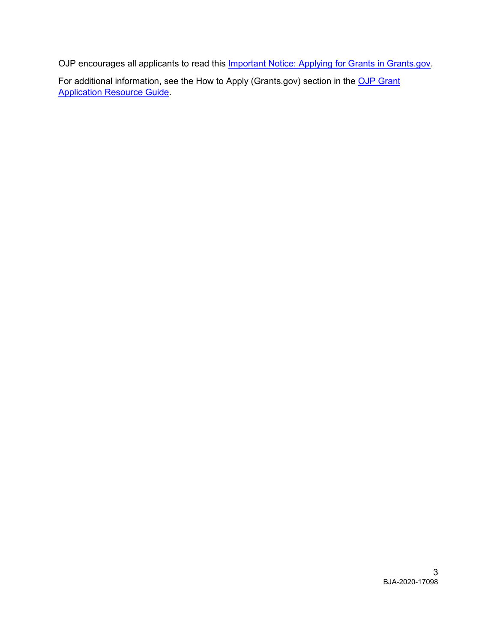OJP encourages all applicants to read this **Important Notice: Applying for Grants in Grants.gov**.

For additional information, see the How to Apply (Grants.gov) section in the OJP Grant [Application Resource Guide.](https://www.ojp.gov/funding/Apply/Resources/Grant-App-Resource-Guide.htm#howToApply)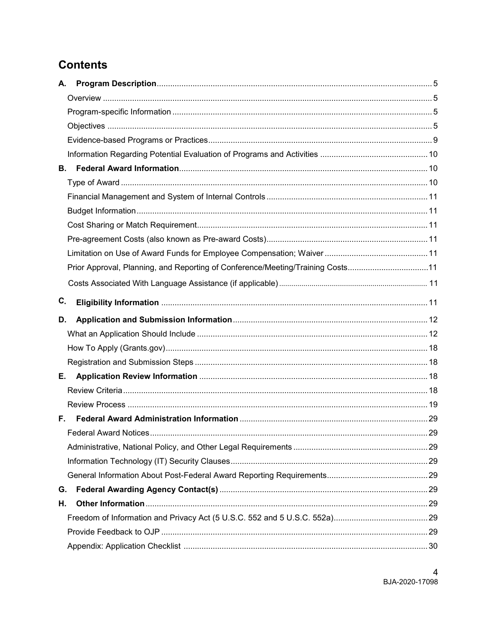# **Contents**

| А. |                                                                                |  |
|----|--------------------------------------------------------------------------------|--|
|    |                                                                                |  |
|    |                                                                                |  |
|    |                                                                                |  |
|    |                                                                                |  |
|    |                                                                                |  |
| В. |                                                                                |  |
|    |                                                                                |  |
|    |                                                                                |  |
|    |                                                                                |  |
|    |                                                                                |  |
|    |                                                                                |  |
|    |                                                                                |  |
|    | Prior Approval, Planning, and Reporting of Conference/Meeting/Training Costs11 |  |
|    |                                                                                |  |
| C. |                                                                                |  |
| D. |                                                                                |  |
|    |                                                                                |  |
|    |                                                                                |  |
|    |                                                                                |  |
| Е. |                                                                                |  |
|    |                                                                                |  |
|    |                                                                                |  |
|    |                                                                                |  |
|    |                                                                                |  |
|    |                                                                                |  |
|    |                                                                                |  |
|    |                                                                                |  |
| G. |                                                                                |  |
| Н. |                                                                                |  |
|    |                                                                                |  |
|    |                                                                                |  |
|    |                                                                                |  |

 $\overline{4}$ BJA-2020-17098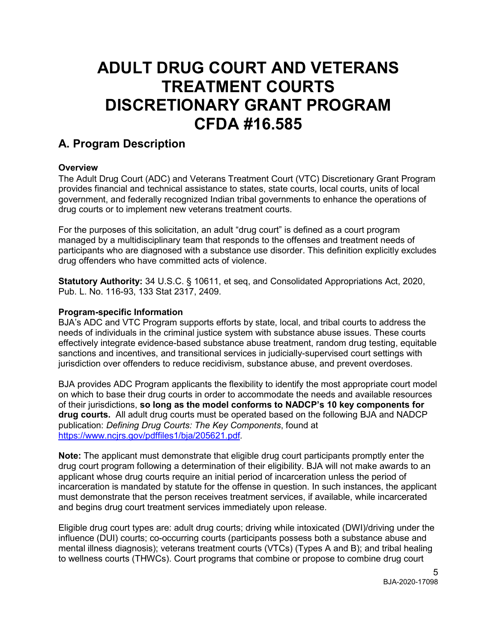# **ADULT DRUG COURT AND VETERANS TREATMENT COURTS DISCRETIONARY GRANT PROGRAM CFDA #16.585**

# <span id="page-4-0"></span>**A. Program Description**

### <span id="page-4-1"></span>**Overview**

The Adult Drug Court (ADC) and Veterans Treatment Court (VTC) Discretionary Grant Program provides financial and technical assistance to states, state courts, local courts, units of local government, and federally recognized Indian tribal governments to enhance the operations of drug courts or to implement new veterans treatment courts.

For the purposes of this solicitation, an adult "drug court" is defined as a court program managed by a multidisciplinary team that responds to the offenses and treatment needs of participants who are diagnosed with a substance use disorder. This definition explicitly excludes drug offenders who have committed acts of violence.

<span id="page-4-2"></span>**Statutory Authority:** 34 U.S.C. § 10611, et seq, and Consolidated Appropriations Act, 2020, Pub. L. No. 116-93, 133 Stat 2317, 2409.

#### **Program-specific Information**

<span id="page-4-3"></span>BJA's ADC and VTC Program supports efforts by state, local, and tribal courts to address the needs of individuals in the criminal justice system with substance abuse issues. These courts effectively integrate evidence-based substance abuse treatment, random drug testing, equitable sanctions and incentives, and transitional services in judicially-supervised court settings with jurisdiction over offenders to reduce recidivism, substance abuse, and prevent overdoses.

BJA provides ADC Program applicants the flexibility to identify the most appropriate court model on which to base their drug courts in order to accommodate the needs and available resources of their jurisdictions, **so long as the model conforms to NADCP's 10 key components for drug courts.** All adult drug courts must be operated based on the following BJA and NADCP publication: *Defining Drug Courts: The Key Components*, found at <https://www.ncjrs.gov/pdffiles1/bja/205621.pdf>*.*

**Note:** The applicant must demonstrate that eligible drug court participants promptly enter the drug court program following a determination of their eligibility. BJA will not make awards to an applicant whose drug courts require an initial period of incarceration unless the period of incarceration is mandated by statute for the offense in question. In such instances, the applicant must demonstrate that the person receives treatment services, if available, while incarcerated and begins drug court treatment services immediately upon release.

Eligible drug court types are: adult drug courts; driving while intoxicated (DWI)/driving under the influence (DUI) courts; co-occurring courts (participants possess both a substance abuse and mental illness diagnosis); veterans treatment courts (VTCs) (Types A and B); and tribal healing to wellness courts (THWCs). Court programs that combine or propose to combine drug court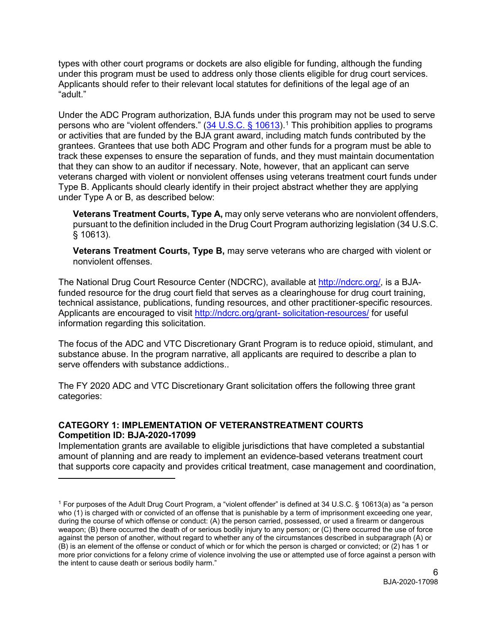types with other court programs or dockets are also eligible for funding, although the funding under this program must be used to address only those clients eligible for drug court services. Applicants should refer to their relevant local statutes for definitions of the legal age of an "adult."

Under the ADC Program authorization, BJA funds under this program may not be used to serve persons who are "violent offenders."  $(34 \text{ U.S.C.} \text{ § } 10613)$  $(34 \text{ U.S.C.} \text{ § } 10613)$  $(34 \text{ U.S.C.} \text{ § } 10613)$ .<sup>1</sup> This prohibition applies to programs or activities that are funded by the BJA grant award, including match funds contributed by the grantees. Grantees that use both ADC Program and other funds for a program must be able to track these expenses to ensure the separation of funds, and they must maintain documentation that they can show to an auditor if necessary. Note, however, that an applicant can serve veterans charged with violent or nonviolent offenses using veterans treatment court funds under Type B. Applicants should clearly identify in their project abstract whether they are applying under Type A or B, as described below:

**Veterans Treatment Courts, Type A,** may only serve veterans who are nonviolent offenders, pursuant to the definition included in the Drug Court Program authorizing legislation (34 U.S.C. § 10613).

**Veterans Treatment Courts, Type B,** may serve veterans who are charged with violent or nonviolent offenses.

The National Drug Court Resource Center (NDCRC), available at [http://ndcrc.org/,](http://ndcrc.org/) is a BJAfunded resource for the drug court field that serves as a clearinghouse for drug court training, technical assistance, publications, funding resources, and other practitioner-specific resources. Applicants are encouraged to visit [http://ndcrc.org/grant-](http://ndcrc.org/grant-solicitation-resources/) [solicitation-resources/](http://ndcrc.org/grant-solicitation-resources/) for useful information regarding this solicitation.

The focus of the ADC and VTC Discretionary Grant Program is to reduce opioid, stimulant, and substance abuse. In the program narrative, all applicants are required to describe a plan to serve offenders with substance addictions..

The FY 2020 ADC and VTC Discretionary Grant solicitation offers the following three grant categories:

### **CATEGORY 1: IMPLEMENTATION OF VETERANSTREATMENT COURTS Competition ID: BJA-2020-17099**

 $\overline{a}$ 

Implementation grants are available to eligible jurisdictions that have completed a substantial amount of planning and are ready to implement an evidence-based veterans treatment court that supports core capacity and provides critical treatment, case management and coordination,

<span id="page-5-0"></span><sup>1</sup> For purposes of the Adult Drug Court Program, a "violent offender" is defined at 34 U.S.C. § 10613(a) as "a person who (1) is charged with or convicted of an offense that is punishable by a term of imprisonment exceeding one year, during the course of which offense or conduct: (A) the person carried, possessed, or used a firearm or dangerous weapon; (B) there occurred the death of or serious bodily injury to any person; or (C) there occurred the use of force against the person of another, without regard to whether any of the circumstances described in subparagraph (A) or (B) is an element of the offense or conduct of which or for which the person is charged or convicted; or (2) has 1 or more prior convictions for a felony crime of violence involving the use or attempted use of force against a person with the intent to cause death or serious bodily harm."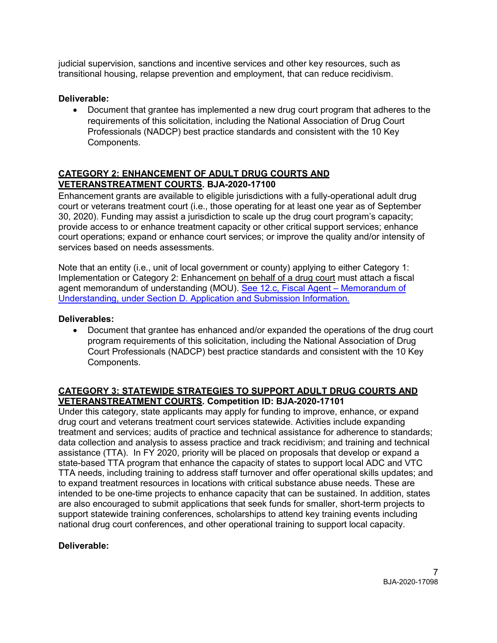judicial supervision, sanctions and incentive services and other key resources, such as transitional housing, relapse prevention and employment, that can reduce recidivism.

### **Deliverable:**

• Document that grantee has implemented a new drug court program that adheres to the requirements of this solicitation, including the National Association of Drug Court Professionals (NADCP) best practice standards and consistent with the 10 Key Components.

### **CATEGORY 2: ENHANCEMENT OF ADULT DRUG COURTS AND VETERANSTREATMENT COURTS. BJA-2020-17100**

Enhancement grants are available to eligible jurisdictions with a fully-operational adult drug court or veterans treatment court (i.e., those operating for at least one year as of September 30, 2020). Funding may assist a jurisdiction to scale up the drug court program's capacity; provide access to or enhance treatment capacity or other critical support services; enhance court operations; expand or enhance court services; or improve the quality and/or intensity of services based on needs assessments.

Note that an entity (i.e., unit of local government or county) applying to either Category 1: Implementation or Category 2: Enhancement on behalf of a drug court must attach a fiscal agent memorandum of understanding (MOU). See 12.c, Fiscal Agent – [Memorandum of](#page-15-0)  [Understanding, under Section D. Application and Submission Information.](#page-15-0)

### **Deliverables:**

• Document that grantee has enhanced and/or expanded the operations of the drug court program requirements of this solicitation, including the National Association of Drug Court Professionals (NADCP) best practice standards and consistent with the 10 Key Components.

### **CATEGORY 3: STATEWIDE STRATEGIES TO SUPPORT ADULT DRUG COURTS AND VETERANSTREATMENT COURTS. Competition ID: BJA-2020-17101**

Under this category, state applicants may apply for funding to improve, enhance, or expand drug court and veterans treatment court services statewide. Activities include expanding treatment and services; audits of practice and technical assistance for adherence to standards; data collection and analysis to assess practice and track recidivism; and training and technical assistance (TTA). In FY 2020, priority will be placed on proposals that develop or expand a state-based TTA program that enhance the capacity of states to support local ADC and VTC TTA needs, including training to address staff turnover and offer operational skills updates; and to expand treatment resources in locations with critical substance abuse needs. These are intended to be one-time projects to enhance capacity that can be sustained. In addition, states are also encouraged to submit applications that seek funds for smaller, short-term projects to support statewide training conferences, scholarships to attend key training events including national drug court conferences, and other operational training to support local capacity.

### **Deliverable:**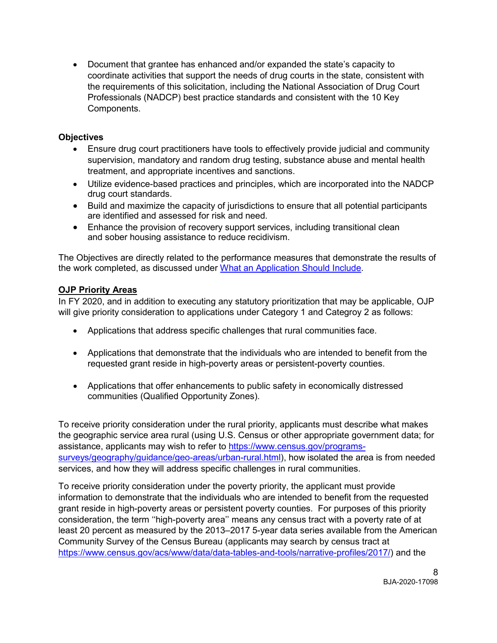• Document that grantee has enhanced and/or expanded the state's capacity to coordinate activities that support the needs of drug courts in the state, consistent with the requirements of this solicitation, including the National Association of Drug Court Professionals (NADCP) best practice standards and consistent with the 10 Key Components.

### **Objectives**

- Ensure drug court practitioners have tools to effectively provide judicial and community supervision, mandatory and random drug testing, substance abuse and mental health treatment, and appropriate incentives and sanctions.
- Utilize evidence-based practices and principles, which are incorporated into the NADCP drug court standards.
- Build and maximize the capacity of jurisdictions to ensure that all potential participants are identified and assessed for risk and need.
- Enhance the provision of recovery support services, including transitional clean and sober housing assistance to reduce recidivism.

The Objectives are directly related to the performance measures that demonstrate the results of the work completed, as discussed under [What an Application Should Include.](#page-11-2)

### **OJP Priority Areas**

In FY 2020, and in addition to executing any statutory prioritization that may be applicable, OJP will give priority consideration to applications under Category 1 and Categroy 2 as follows:

- Applications that address specific challenges that rural communities face.
- Applications that demonstrate that the individuals who are intended to benefit from the requested grant reside in high-poverty areas or persistent-poverty counties.
- Applications that offer enhancements to public safety in economically distressed communities (Qualified Opportunity Zones).

To receive priority consideration under the rural priority, applicants must describe what makes the geographic service area rural (using U.S. Census or other appropriate government data; for assistance, applicants may wish to refer to [https://www.census.gov/programs](https://www.census.gov/programs-surveys/geography/guidance/geo-areas/urban-rural.html)[surveys/geography/guidance/geo-areas/urban-rural.html\)](https://www.census.gov/programs-surveys/geography/guidance/geo-areas/urban-rural.html), how isolated the area is from needed services, and how they will address specific challenges in rural communities.

To receive priority consideration under the poverty priority, the applicant must provide information to demonstrate that the individuals who are intended to benefit from the requested grant reside in high-poverty areas or persistent poverty counties. For purposes of this priority consideration, the term ''high-poverty area'' means any census tract with a poverty rate of at least 20 percent as measured by the 2013–2017 5-year data series available from the American Community Survey of the Census Bureau (applicants may search by census tract at [https://www.census.gov/acs/www/data/data-tables-and-tools/narrative-profiles/2017/\)](https://www.census.gov/acs/www/data/data-tables-and-tools/narrative-profiles/2017/) and the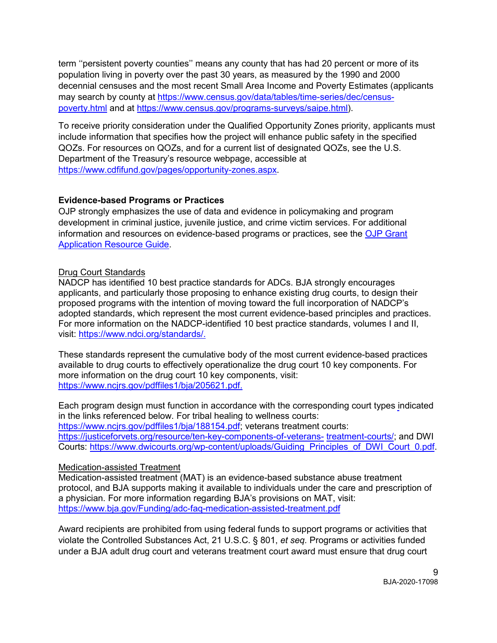term ''persistent poverty counties'' means any county that has had 20 percent or more of its population living in poverty over the past 30 years, as measured by the 1990 and 2000 decennial censuses and the most recent Small Area Income and Poverty Estimates (applicants may search by county at [https://www.census.gov/data/tables/time-series/dec/census](https://www.census.gov/data/tables/time-series/dec/census-poverty.html)[poverty.html](https://www.census.gov/data/tables/time-series/dec/census-poverty.html) and at [https://www.census.gov/programs-surveys/saipe.html\)](https://www.census.gov/programs-surveys/saipe.html).

To receive priority consideration under the Qualified Opportunity Zones priority, applicants must include information that specifies how the project will enhance public safety in the specified QOZs. For resources on QOZs, and for a current list of designated QOZs, see the U.S. Department of the Treasury's resource webpage, accessible at [https://www.cdfifund.gov/pages/opportunity-zones.aspx.](https://www.cdfifund.gov/pages/opportunity-zones.aspx)

### <span id="page-8-0"></span>**Evidence-based Programs or Practices**

OJP strongly emphasizes the use of data and evidence in policymaking and program development in criminal justice, juvenile justice, and crime victim services. For additional information and resources on evidence-based programs or practices, see the [OJP Grant](https://www.ojp.gov/funding/Apply/Resources/Grant-App-Resource-Guide.htm#evidenceBased)  [Application Resource Guide.](https://www.ojp.gov/funding/Apply/Resources/Grant-App-Resource-Guide.htm#evidenceBased)

### <span id="page-8-1"></span>Drug Court Standards

NADCP has identified 10 best practice standards for ADCs. BJA strongly encourages applicants, and particularly those proposing to enhance existing drug courts, to design their proposed programs with the intention of moving toward the full incorporation of NADCP's adopted standards, which represent the most current evidence-based principles and practices. For more information on the NADCP-identified 10 best practice standards, volumes I and II, visit: [https://www.ndci.org/standards/.](https://www.ndci.org/standards/)

These standards represent the cumulative body of the most current evidence-based practices available to drug courts to effectively operationalize the drug court 10 key components. For more information on the drug court 10 key components, visit: [https://www.ncjrs.gov/pdffiles1/bja/205621.pdf.](https://www.ncjrs.gov/pdffiles1/bja/205621.pdf)

Each program design must function in accordance with the corresponding court types indicated in the links referenced below. For tribal healing to wellness courts: [https://www.ncjrs.gov/pdffiles1/bja/188154.pdf;](https://www.ncjrs.gov/pdffiles1/bja/188154.pdf) veterans treatment courts: [https://justiceforvets.org/resource/ten-key-components-of-veterans-](https://justiceforvets.org/resource/ten-key-components-of-veterans-treatment-courts/) [treatment-courts/;](https://justiceforvets.org/resource/ten-key-components-of-veterans-treatment-courts/) and DWI Courts: [https://www.dwicourts.org/wp-content/uploads/Guiding\\_Principles\\_of\\_DWI\\_Court\\_0.pdf.](https://www.dwicourts.org/wp-)

### Medication-assisted Treatment

Medication-assisted treatment (MAT) is an evidence-based substance abuse treatment protocol, and BJA supports making it available to individuals under the care and prescription of a physician. For more information regarding BJA's provisions on MAT, visit: <https://www.bja.gov/Funding/adc-faq-medication-assisted-treatment.pdf>

Award recipients are prohibited from using federal funds to support programs or activities that violate the Controlled Substances Act, 21 U.S.C. § 801, *et seq.* Programs or activities funded under a BJA adult drug court and veterans treatment court award must ensure that drug court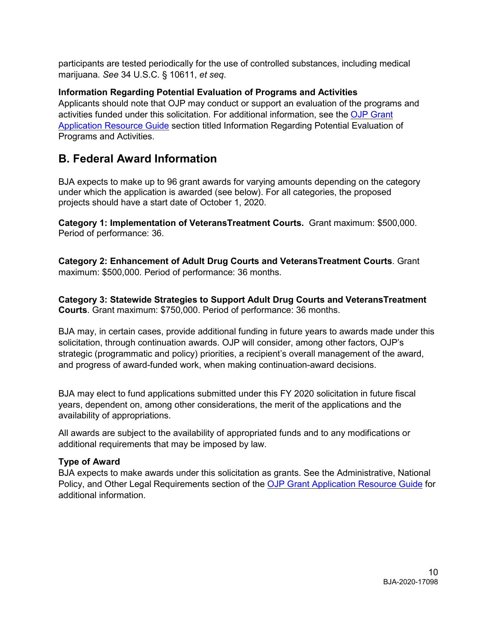participants are tested periodically for the use of controlled substances, including medical marijuana. *See* 34 U.S.C. § 10611, *et seq*.

**Information Regarding Potential Evaluation of Programs and Activities** Applicants should note that OJP may conduct or support an evaluation of the programs and activities funded under this solicitation. For additional information, see the [OJP Grant](https://www.ojp.gov/funding/Apply/Resources/Grant-App-Resource-Guide.htm#potentialEvaluation)  [Application Resource Guide](https://www.ojp.gov/funding/Apply/Resources/Grant-App-Resource-Guide.htm#potentialEvaluation) section titled Information Regarding Potential Evaluation of Programs and Activities.

# <span id="page-9-0"></span>**B. Federal Award Information**

BJA expects to make up to 96 grant awards for varying amounts depending on the category under which the application is awarded (see below). For all categories, the proposed projects should have a start date of October 1, 2020.

**Category 1: Implementation of VeteransTreatment Courts.** Grant maximum: \$500,000. Period of performance: 36.

**Category 2: Enhancement of Adult Drug Courts and VeteransTreatment Courts**. Grant maximum: \$500,000. Period of performance: 36 months.

**Category 3: Statewide Strategies to Support Adult Drug Courts and VeteransTreatment Courts**. Grant maximum: \$750,000. Period of performance: 36 months.

BJA may, in certain cases, provide additional funding in future years to awards made under this solicitation, through continuation awards. OJP will consider, among other factors, OJP's strategic (programmatic and policy) priorities, a recipient's overall management of the award, and progress of award-funded work, when making continuation-award decisions.

BJA may elect to fund applications submitted under this FY 2020 solicitation in future fiscal years, dependent on, among other considerations, the merit of the applications and the availability of appropriations.

All awards are subject to the availability of appropriated funds and to any modifications or additional requirements that may be imposed by law.

### <span id="page-9-1"></span>**Type of Award**

BJA expects to make awards under this solicitation as grants. See the Administrative, National Policy, and Other Legal Requirements section of the [OJP Grant Application Resource Guide](https://www.ojp.gov/funding/Apply/Resources/Grant-App-Resource-Guide.htm#otherLegalRequirements) for additional information.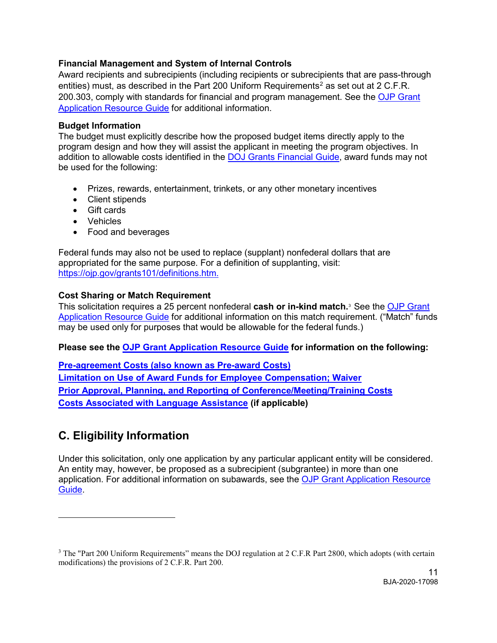### <span id="page-10-5"></span><span id="page-10-1"></span>**Financial Management and System of Internal Controls**

Award recipients and subrecipients (including recipients or subrecipients that are pass-through entities) must, as described in the Part [2](#page-10-6)00 Uniform Requirements<sup>2</sup> as set out at 2 C.F.R. 200.303, comply with standards for financial and program management. See the [OJP Grant](https://www.ojp.gov/funding/Apply/Resources/Grant-App-Resource-Guide.htm#financialManagement)  [Application Resource Guide](https://www.ojp.gov/funding/Apply/Resources/Grant-App-Resource-Guide.htm#financialManagement) for additional information.

#### <span id="page-10-2"></span>**Budget Information**

The budget must explicitly describe how the proposed budget items directly apply to the program design and how they will assist the applicant in meeting the program objectives. In addition to allowable costs identified in the [DOJ Grants Financial Guide,](https://ojp.gov/financialguide/doj/pdfs/DOJ_FinancialGuide.pdf) award funds may not be used for the following:

- Prizes, rewards, entertainment, trinkets, or any other monetary incentives
- Client stipends
- Gift cards
- Vehicles
- Food and beverages

Federal funds may also not be used to replace (supplant) nonfederal dollars that are appropriated for the same purpose. For a definition of supplanting, visit: [https://ojp.gov/grants101/definitions.htm.](https://ojp.gov/grants101/definitions.htm)

#### <span id="page-10-3"></span>**Cost Sharing or Match Requirement**

<span id="page-10-4"></span>This solicitation requires a 25 percent nonfederal **cash or in-kind match.**[3](#page-10-7) See the [OJP Grant](https://www.ojp.gov/funding/Apply/Resources/Grant-App-Resource-Guide.htm#costSharing)  [Application Resource Guide](https://www.ojp.gov/funding/Apply/Resources/Grant-App-Resource-Guide.htm#costSharing) for additional information on this match requirement. ("Match" funds may be used only for purposes that would be allowable for the federal funds.)

#### **Please see the [OJP Grant Application Resource Guide](https://ojp.gov/funding/Apply/Resources/Grant-App-Resource-Guide.htm) for information on the following:**

**[Pre-agreement Costs \(also known as Pre-award Costs\)](https://www.ojp.gov/funding/Apply/Resources/Grant-App-Resource-Guide.htm#pre-agreement) [Limitation on Use of Award Funds for Employee Compensation; Waiver](https://www.ojp.gov/funding/Apply/Resources/Grant-App-Resource-Guide.htm#UseOfAwardFunds) [Prior Approval, Planning, and Reporting of Conference/Meeting/Training Costs](https://www.ojp.gov/funding/Apply/Resources/Grant-App-Resource-Guide.htm#reportingCosts) [Costs Associated with Language Assistance](https://www.ojp.gov/funding/Apply/Resources/Grant-App-Resource-Guide.htm#languageAssistance) (if applicable)**

# <span id="page-10-0"></span>**C. Eligibility Information**

 $\overline{a}$ 

Under this solicitation, only one application by any particular applicant entity will be considered. An entity may, however, be proposed as a subrecipient (subgrantee) in more than one application. For additional information on subawards, see the [OJP Grant Application Resource](https://www.ojp.gov/microsite-subpage/ojp-grant-application-resource-guide#subawardInfo)  [Guide.](https://www.ojp.gov/microsite-subpage/ojp-grant-application-resource-guide#subawardInfo)

<span id="page-10-7"></span><span id="page-10-6"></span><sup>&</sup>lt;sup>3</sup> The "Part 200 Uniform Requirements" means the DOJ regulation at 2 C.F.R Part 2800, which adopts (with certain modifications) the provisions of 2 C.F.R. Part 200.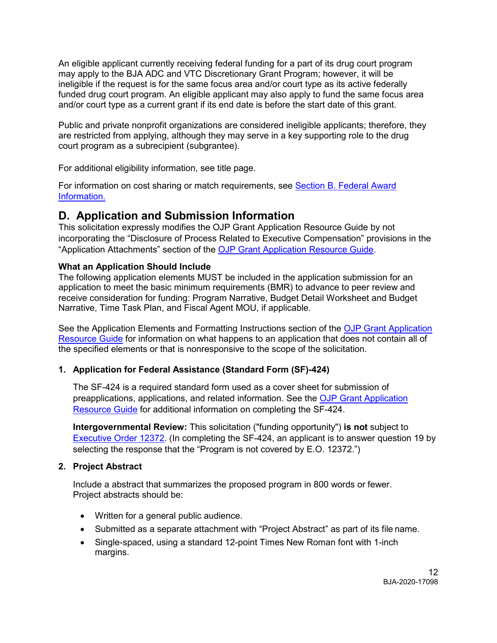An eligible applicant currently receiving federal funding for a part of its drug court program may apply to the BJA ADC and VTC Discretionary Grant Program; however, it will be ineligible if the request is for the same focus area and/or court type as its active federally funded drug court program. An eligible applicant may also apply to fund the same focus area and/or court type as a current grant if its end date is before the start date of this grant.

Public and private nonprofit organizations are considered ineligible applicants; therefore, they are restricted from applying, although they may serve in a key supporting role to the drug court program as a subrecipient (subgrantee).

For additional eligibility information, see title page.

For information on cost sharing or match requirements, see [Section B. Federal Award](#page-10-3)  [Information.](#page-10-3)

# <span id="page-11-2"></span><span id="page-11-0"></span>**D. Application and Submission Information**

<span id="page-11-1"></span>This solicitation expressly modifies the OJP Grant Application Resource Guide by not incorporating the "Disclosure of Process Related to Executive Compensation" provisions in the "Application Attachments" section of the [OJP Grant Application Resource Guide.](https://www.ojp.gov/funding/Apply/Resources/Grant-App-Resource-Guide.htm#processDisclosure)

### **What an Application Should Include**

The following application elements MUST be included in the application submission for an application to meet the basic minimum requirements (BMR) to advance to peer review and receive consideration for funding: Program Narrative, Budget Detail Worksheet and Budget Narrative, Time Task Plan, and Fiscal Agent MOU, if applicable.

See the Application Elements and Formatting Instructions section of the [OJP Grant Application](https://www.ojp.gov/funding/Apply/Resources/Grant-App-Resource-Guide.htm#formatInstructions)  [Resource Guide](https://www.ojp.gov/funding/Apply/Resources/Grant-App-Resource-Guide.htm#formatInstructions) for information on what happens to an application that does not contain all of the specified elements or that is nonresponsive to the scope of the solicitation*.*

### **1. Application for Federal Assistance (Standard Form (SF)-424)**

The SF-424 is a required standard form used as a cover sheet for submission of preapplications, applications, and related information. See the [OJP Grant Application](https://www.ojp.gov/funding/Apply/Resources/Grant-App-Resource-Guide.htm#completeApplication)  [Resource Guide](https://www.ojp.gov/funding/Apply/Resources/Grant-App-Resource-Guide.htm#completeApplication) for additional information on completing the SF-424.

**Intergovernmental Review:** This solicitation ("funding opportunity") **is not** subject to [Executive Order 12372.](https://www.archives.gov/federal-register/codification/executive-order/12372.html) (In completing the SF-424, an applicant is to answer question 19 by selecting the response that the "Program is not covered by E.O. 12372.")

### **2. Project Abstract**

Include a abstract that summarizes the proposed program in 800 words or fewer. Project abstracts should be:

- Written for a general public audience.
- Submitted as a separate attachment with "Project Abstract" as part of its file name.
- Single-spaced, using a standard 12-point Times New Roman font with 1-inch margins.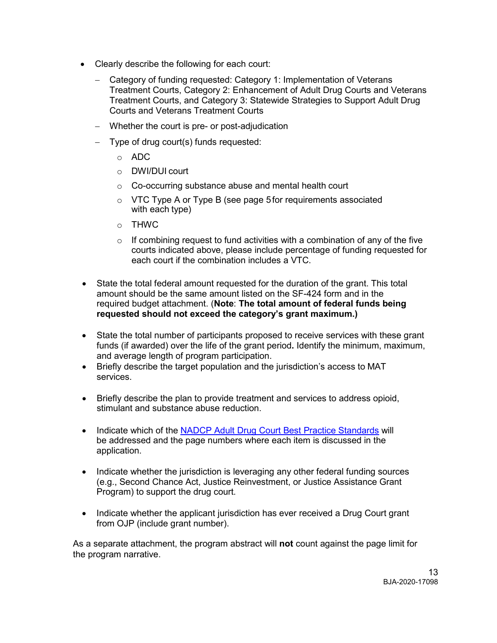- Clearly describe the following for each court:
	- − Category of funding requested: Category 1: Implementation of Veterans Treatment Courts, Category 2: Enhancement of Adult Drug Courts and Veterans Treatment Courts, and Category 3: Statewide Strategies to Support Adult Drug Courts and Veterans Treatment Courts
	- − Whether the court is pre- or post-adjudication
	- − Type of drug court(s) funds requested:
		- o ADC
		- o DWI/DUI court
		- o Co-occurring substance abuse and mental health court
		- o VTC Type A or Type B (see page 5for requirements associated with each type)
		- o THWC
		- $\circ$  If combining request to fund activities with a combination of any of the five courts indicated above, please include percentage of funding requested for each court if the combination includes a VTC.
- State the total federal amount requested for the duration of the grant. This total amount should be the same amount listed on the SF-424 form and in the required budget attachment. (**Note**: **The total amount of federal funds being requested should not exceed the category's grant maximum.)**
- State the total number of participants proposed to receive services with these grant funds (if awarded) over the life of the grant period**.** Identify the minimum, maximum, and average length of program participation.
- Briefly describe the target population and the jurisdiction's access to MAT services.
- Briefly describe the plan to provide treatment and services to address opioid, stimulant and substance abuse reduction.
- Indicate which of the [NADCP Adult Drug Court Best Practice Standards](https://www.nadcp.org/standards/adult-drug-court-best-practice-standards/) will be addressed and the page numbers where each item is discussed in the application.
- Indicate whether the jurisdiction is leveraging any other federal funding sources (e.g., Second Chance Act, Justice Reinvestment, or Justice Assistance Grant Program) to support the drug court.
- Indicate whether the applicant jurisdiction has ever received a Drug Court grant from OJP (include grant number).

As a separate attachment, the program abstract will **not** count against the page limit for the program narrative.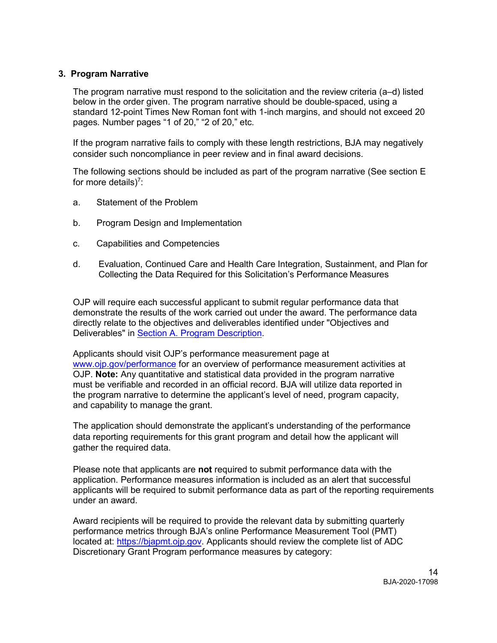#### **3. Program Narrative**

The program narrative must respond to the solicitation and the review criteria (a–d) listed below in the order given. The program narrative should be double-spaced, using a standard 12-point Times New Roman font with 1-inch margins, and should not exceed 20 pages. Number pages "1 of 20," "2 of 20," etc.

If the program narrative fails to comply with these length restrictions, BJA may negatively consider such noncompliance in peer review and in final award decisions.

The following sections should be included as part of the program narrative (See section E for more details)<sup>7</sup>:

- a. Statement of the Problem
- b. Program Design and Implementation
- c. Capabilities and Competencies
- d. Evaluation, Continued Care and Health Care Integration, Sustainment, and Plan for Collecting the Data Required for this Solicitation's Performance Measures

OJP will require each successful applicant to submit regular performance data that demonstrate the results of the work carried out under the award. The performance data directly relate to the objectives and deliverables identified under "Objectives and Deliverables" in Section A. Program Description.

Applicants should visit OJP's performance measurement page at [www.ojp.gov/performance](https://www.ojp.gov/performance) for an overview of performance measurement activities at OJP. **Note:** Any quantitative and statistical data provided in the program narrative must be verifiable and recorded in an official record. BJA will utilize data reported in the program narrative to determine the applicant's level of need, program capacity, and capability to manage the grant.

The application should demonstrate the applicant's understanding of the performance data reporting requirements for this grant program and detail how the applicant will gather the required data.

Please note that applicants are **not** required to submit performance data with the application. Performance measures information is included as an alert that successful applicants will be required to submit performance data as part of the reporting requirements under an award.

Award recipients will be required to provide the relevant data by submitting quarterly performance metrics through BJA's online Performance Measurement Tool (PMT) located at: [https://bjapmt.ojp.gov.](https://bjapmt.ojp.gov/) Applicants should review the complete list of ADC Discretionary Grant Program performance measures by category: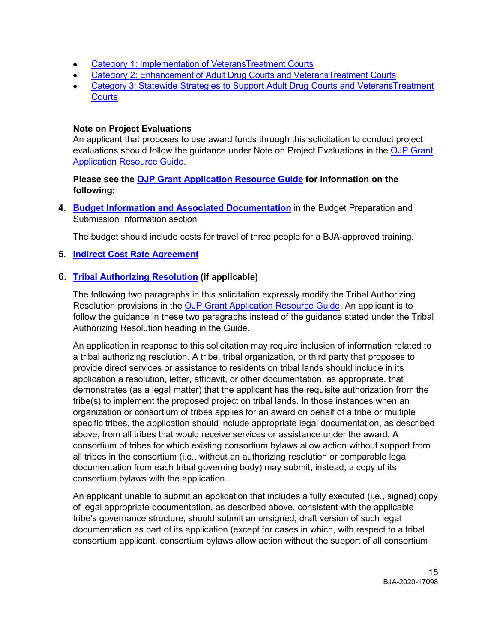- Category 1: [Implementation of VeteransTreatment Courts](https://bjapmt.ojp.gov/help/ImplementationDrugCourtMeasures.pdf)
- Category 2: [Enhancement of Adult Drug Courts and VeteransTreatment Courts](https://bjapmt.ojp.gov/help/EnhancementDrugCourtMeasures.pdf)
- [Category 3: Statewide](https://bjapmt.ojp.gov/help/EnhancementDrugCourtMeasures.pdf) [Strategies to Support Adult Drug Courts and VeteransTreatment](https://bjapmt.ojp.gov/help/BJADRUGCOURTStatewideIndicators111011.pdf)  **[Courts](https://bjapmt.ojp.gov/help/BJADRUGCOURTStatewideIndicators111011.pdf)**

### **Note on Project Evaluations**

An applicant that proposes to use award funds through this solicitation to conduct project evaluations should follow the guidance under Note on Project Evaluations in the [OJP Grant](https://www.ojp.gov/funding/Apply/Resources/Grant-App-Resource-Guide.htm#projectEvaluation)  [Application Resource Guide.](https://www.ojp.gov/funding/Apply/Resources/Grant-App-Resource-Guide.htm#projectEvaluation)

### **Please see the [OJP Grant Application Resource Guide](https://ojp.gov/funding/Apply/Resources/Grant-App-Resource-Guide.htm) for information on the following:**

**4. [Budget Information and Associated Documentation](https://www.ojp.gov/funding/Apply/Resources/Grant-App-Resource-Guide.htm#budgetInfo)** in the Budget Preparation and Submission Information section

The budget should include costs for travel of three people for a BJA-approved training.

### **5. [Indirect Cost Rate Agreement](https://www.ojp.gov/funding/Apply/Resources/Grant-App-Resource-Guide.htm#indirectCosts)**

### **6. [Tribal Authorizing Resolution](https://www.ojp.gov/funding/Apply/Resources/Grant-App-Resource-Guide.htm#tribalAuthorizing) (if applicable)**

The following two paragraphs in this solicitation expressly modify the Tribal Authorizing Resolution provisions in the [OJP Grant Application Resource Guide.](https://www.ojp.gov/funding/Apply/Resources/Grant-App-Resource-Guide.htm) An applicant is to follow the guidance in these two paragraphs instead of the guidance stated under the Tribal Authorizing Resolution heading in the Guide.

An application in response to this solicitation may require inclusion of information related to a tribal authorizing resolution. A tribe, tribal organization, or third party that proposes to provide direct services or assistance to residents on tribal lands should include in its application a resolution, letter, affidavit, or other documentation, as appropriate, that demonstrates (as a legal matter) that the applicant has the requisite authorization from the tribe(s) to implement the proposed project on tribal lands. In those instances when an organization or consortium of tribes applies for an award on behalf of a tribe or multiple specific tribes, the application should include appropriate legal documentation, as described above, from all tribes that would receive services or assistance under the award. A consortium of tribes for which existing consortium bylaws allow action without support from all tribes in the consortium (i.e., without an authorizing resolution or comparable legal documentation from each tribal governing body) may submit, instead, a copy of its consortium bylaws with the application.

An applicant unable to submit an application that includes a fully executed (i.e., signed) copy of legal appropriate documentation, as described above, consistent with the applicable tribe's governance structure, should submit an unsigned, draft version of such legal documentation as part of its application (except for cases in which, with respect to a tribal consortium applicant, consortium bylaws allow action without the support of all consortium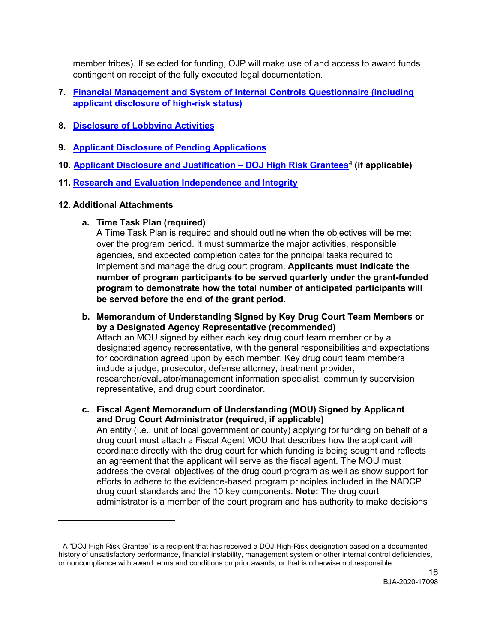member tribes). If selected for funding, OJP will make use of and access to award funds contingent on receipt of the fully executed legal documentation.

- **7. [Financial Management and System of Internal Controls Questionnaire \(including](https://www.ojp.gov/funding/Apply/Resources/Grant-App-Resource-Guide.htm#internalControlsQuestionnaire)  [applicant disclosure of high-risk status\)](https://www.ojp.gov/funding/Apply/Resources/Grant-App-Resource-Guide.htm#internalControlsQuestionnaire)**
- **8. [Disclosure of Lobbying Activities](https://www.ojp.gov/funding/Apply/Resources/Grant-App-Resource-Guide.htm#lobbyingActivity)**
- **9. [Applicant Disclosure of Pending Applications](https://www.ojp.gov/funding/Apply/Resources/Grant-App-Resource-Guide.htm#applicantDisclosure)**
- **10. [Applicant Disclosure and Justification –](https://www.ojp.gov/funding/Apply/Resources/Grant-App-Resource-Guide.htm#applicantDisclosureHR) DOJ High Risk Grantees[4](#page-15-1) (if applicable)**
- **11. [Research and Evaluation Independence and Integrity](https://www.ojp.gov/funding/Apply/Resources/Grant-App-Resource-Guide.htm#researchAndEvaluation)**

### **12. Additional Attachments**

 $\overline{a}$ 

**a. Time Task Plan (required)**

A Time Task Plan is required and should outline when the objectives will be met over the program period. It must summarize the major activities, responsible agencies, and expected completion dates for the principal tasks required to implement and manage the drug court program. **Applicants must indicate the number of program participants to be served quarterly under the grant-funded program to demonstrate how the total number of anticipated participants will be served before the end of the grant period.**

- **b. Memorandum of Understanding Signed by Key Drug Court Team Members or by a Designated Agency Representative (recommended)** Attach an MOU signed by either each key drug court team member or by a designated agency representative, with the general responsibilities and expectations for coordination agreed upon by each member. Key drug court team members include a judge, prosecutor, defense attorney, treatment provider, researcher/evaluator/management information specialist, community supervision representative, and drug court coordinator.
- <span id="page-15-0"></span>**c. Fiscal Agent Memorandum of Understanding (MOU) Signed by Applicant and Drug Court Administrator (required, if applicable)** An entity (i.e., unit of local government or county) applying for funding on behalf of a drug court must attach a Fiscal Agent MOU that describes how the applicant will coordinate directly with the drug court for which funding is being sought and reflects an agreement that the applicant will serve as the fiscal agent. The MOU must address the overall objectives of the drug court program as well as show support for

efforts to adhere to the evidence-based program principles included in the NADCP drug court standards and the 10 key components. **Note:** The drug court administrator is a member of the court program and has authority to make decisions

<span id="page-15-1"></span><sup>4</sup> A "DOJ High Risk Grantee" is a recipient that has received a DOJ High-Risk designation based on a documented history of unsatisfactory performance, financial instability, management system or other internal control deficiencies, or noncompliance with award terms and conditions on prior awards, or that is otherwise not responsible.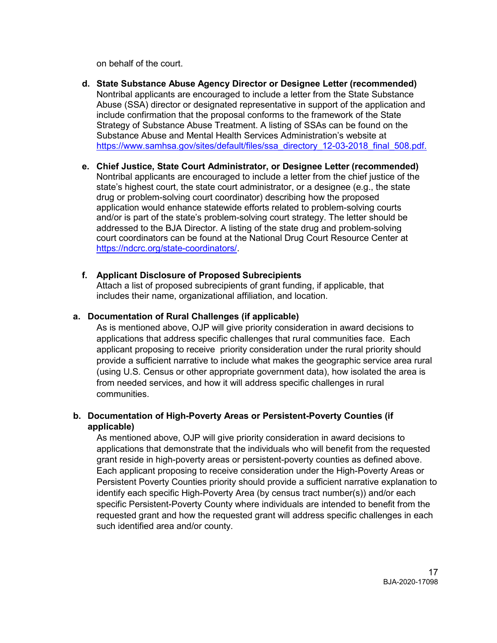on behalf of the court.

- **d. State Substance Abuse Agency Director or Designee Letter (recommended)** Nontribal applicants are encouraged to include a letter from the State Substance Abuse (SSA) director or designated representative in support of the application and include confirmation that the proposal conforms to the framework of the State Strategy of Substance Abuse Treatment. A listing of SSAs can be found on the Substance Abuse and Mental Health Services Administration's website at [https://www.samhsa.gov/sites/default/files/ssa\\_directory\\_12-03-2018\\_final\\_508.pdf.](https://www.samhsa.gov/sites/default/files/ssa_directory_12-03-2018_final_508.pdf)
- **e. Chief Justice, State Court Administrator, or Designee Letter (recommended)** Nontribal applicants are encouraged to include a letter from the chief justice of the state's highest court, the state court administrator, or a designee (e.g., the state drug or problem-solving court coordinator) describing how the proposed application would enhance statewide efforts related to problem-solving courts and/or is part of the state's problem-solving court strategy. The letter should be addressed to the BJA Director. A listing of the state drug and problem-solving court coordinators can be found at the National Drug Court Resource Center at https://ndcrc.org/state-coordinators/.
- **f. Applicant Disclosure of Proposed Subrecipients**

Attach a list of proposed subrecipients of grant funding, if applicable, that includes their name, organizational affiliation, and location.

### **a. Documentation of Rural Challenges (if applicable)**

As is mentioned above, OJP will give priority consideration in award decisions to applications that address specific challenges that rural communities face. Each applicant proposing to receive priority consideration under the rural priority should provide a sufficient narrative to include what makes the geographic service area rural (using U.S. Census or other appropriate government data), how isolated the area is from needed services, and how it will address specific challenges in rural communities.

### **b. Documentation of High-Poverty Areas or Persistent-Poverty Counties (if applicable)**

As mentioned above, OJP will give priority consideration in award decisions to applications that demonstrate that the individuals who will benefit from the requested grant reside in high-poverty areas or persistent-poverty counties as defined above. Each applicant proposing to receive consideration under the High-Poverty Areas or Persistent Poverty Counties priority should provide a sufficient narrative explanation to identify each specific High-Poverty Area (by census tract number(s)) and/or each specific Persistent-Poverty County where individuals are intended to benefit from the requested grant and how the requested grant will address specific challenges in each such identified area and/or county.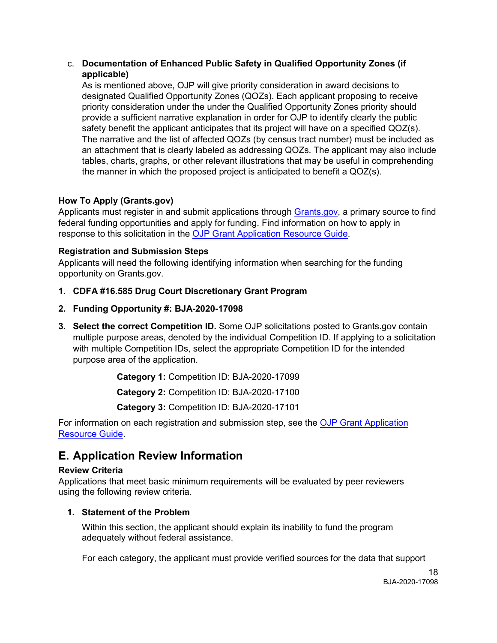### c. **Documentation of Enhanced Public Safety in Qualified Opportunity Zones (if applicable)**

As is mentioned above, OJP will give priority consideration in award decisions to designated Qualified Opportunity Zones (QOZs). Each applicant proposing to receive priority consideration under the under the Qualified Opportunity Zones priority should provide a sufficient narrative explanation in order for OJP to identify clearly the public safety benefit the applicant anticipates that its project will have on a specified QOZ(s). The narrative and the list of affected QOZs (by census tract number) must be included as an attachment that is clearly labeled as addressing QOZs. The applicant may also include tables, charts, graphs, or other relevant illustrations that may be useful in comprehending the manner in which the proposed project is anticipated to benefit a QOZ(s).

### <span id="page-17-0"></span>**How To Apply (Grants.gov)**

Applicants must register in and submit applications through [Grants.gov,](https://www.grants.gov/) a primary source to find federal funding opportunities and apply for funding. Find information on how to apply in response to this solicitation in the [OJP Grant Application Resource Guide.](https://www.ojp.gov/funding/Apply/Resources/Grant-App-Resource-Guide.htm#howToApply)

### <span id="page-17-1"></span>**Registration and Submission Steps**

Applicants will need the following identifying information when searching for the funding opportunity on Grants.gov.

- **1. CDFA #16.585 Drug Court Discretionary Grant Program**
- **2. Funding Opportunity #: BJA-2020-17098**
- **3. Select the correct Competition ID.** Some OJP solicitations posted to Grants.gov contain multiple purpose areas, denoted by the individual Competition ID. If applying to a solicitation with multiple Competition IDs, select the appropriate Competition ID for the intended purpose area of the application.

**Category 1:** Competition ID: BJA-2020-17099

**Category 2:** Competition ID: BJA-2020-17100

**Category 3:** Competition ID: BJA-2020-17101

For information on each registration and submission step, see the OJP Grant Application [Resource Guide.](https://www.ojp.gov/funding/Apply/Resources/Grant-App-Resource-Guide.htm#submissionSteps)

# <span id="page-17-2"></span>**E. Application Review Information**

### <span id="page-17-3"></span>**Review Criteria**

<span id="page-17-4"></span>Applications that meet basic minimum requirements will be evaluated by peer reviewers using the following review criteria.

### **1. Statement of the Problem**

Within this section, the applicant should explain its inability to fund the program adequately without federal assistance.

For each category, the applicant must provide verified sources for the data that support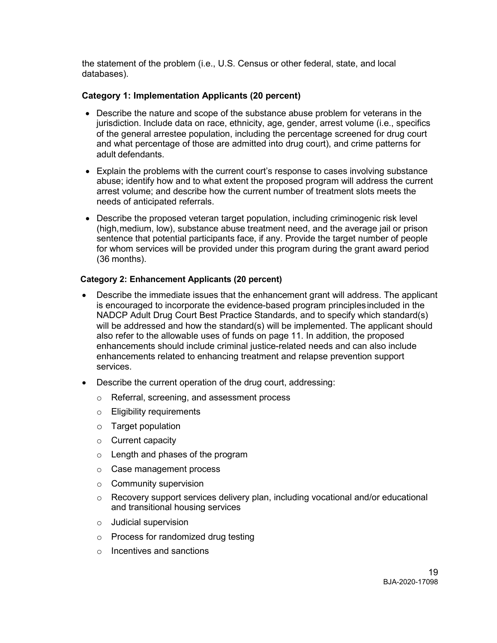the statement of the problem (i.e., U.S. Census or other federal, state, and local databases).

### **Category 1: Implementation Applicants (20 percent)**

- Describe the nature and scope of the substance abuse problem for veterans in the jurisdiction. Include data on race, ethnicity, age, gender, arrest volume (i.e., specifics of the general arrestee population, including the percentage screened for drug court and what percentage of those are admitted into drug court), and crime patterns for adult defendants.
- Explain the problems with the current court's response to cases involving substance abuse; identify how and to what extent the proposed program will address the current arrest volume; and describe how the current number of treatment slots meets the needs of anticipated referrals.
- Describe the proposed veteran target population, including criminogenic risk level (high,medium, low), substance abuse treatment need, and the average jail or prison sentence that potential participants face, if any. Provide the target number of people for whom services will be provided under this program during the grant award period (36 months).

### **Category 2: Enhancement Applicants (20 percent)**

- Describe the immediate issues that the enhancement grant will address. The applicant is encouraged to incorporate the evidence-based program principlesincluded in the NADCP Adult Drug Court Best Practice Standards, and to specify which standard(s) will be addressed and how the standard(s) will be implemented. The applicant should also refer to the allowable uses of funds on page 11. In addition, the proposed enhancements should include criminal justice-related needs and can also include enhancements related to enhancing treatment and relapse prevention support services.
- Describe the current operation of the drug court, addressing:
	- o Referral, screening, and assessment process
	- o Eligibility requirements
	- o Target population
	- o Current capacity
	- o Length and phases of the program
	- o Case management process
	- o Community supervision
	- o Recovery support services delivery plan, including vocational and/or educational and transitional housing services
	- o Judicial supervision
	- o Process for randomized drug testing
	- o Incentives and sanctions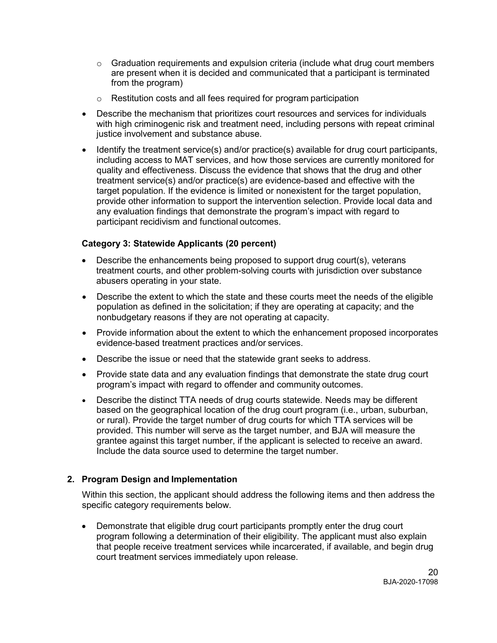- $\circ$  Graduation requirements and expulsion criteria (include what drug court members are present when it is decided and communicated that a participant is terminated from the program)
- o Restitution costs and all fees required for program participation
- Describe the mechanism that prioritizes court resources and services for individuals with high criminogenic risk and treatment need, including persons with repeat criminal justice involvement and substance abuse.
- Identify the treatment service(s) and/or practice(s) available for drug court participants, including access to MAT services, and how those services are currently monitored for quality and effectiveness. Discuss the evidence that shows that the drug and other treatment service(s) and/or practice(s) are evidence-based and effective with the target population. If the evidence is limited or nonexistent for the target population, provide other information to support the intervention selection. Provide local data and any evaluation findings that demonstrate the program's impact with regard to participant recidivism and functional outcomes.

### **Category 3: Statewide Applicants (20 percent)**

- Describe the enhancements being proposed to support drug court(s), veterans treatment courts, and other problem-solving courts with jurisdiction over substance abusers operating in your state.
- Describe the extent to which the state and these courts meet the needs of the eligible population as defined in the solicitation; if they are operating at capacity; and the nonbudgetary reasons if they are not operating at capacity.
- Provide information about the extent to which the enhancement proposed incorporates evidence-based treatment practices and/or services.
- Describe the issue or need that the statewide grant seeks to address.
- Provide state data and any evaluation findings that demonstrate the state drug court program's impact with regard to offender and community outcomes.
- Describe the distinct TTA needs of drug courts statewide. Needs may be different based on the geographical location of the drug court program (i.e., urban, suburban, or rural). Provide the target number of drug courts for which TTA services will be provided. This number will serve as the target number, and BJA will measure the grantee against this target number, if the applicant is selected to receive an award. Include the data source used to determine the target number.

### **2. Program Design and Implementation**

Within this section, the applicant should address the following items and then address the specific category requirements below.

• Demonstrate that eligible drug court participants promptly enter the drug court program following a determination of their eligibility. The applicant must also explain that people receive treatment services while incarcerated, if available, and begin drug court treatment services immediately upon release.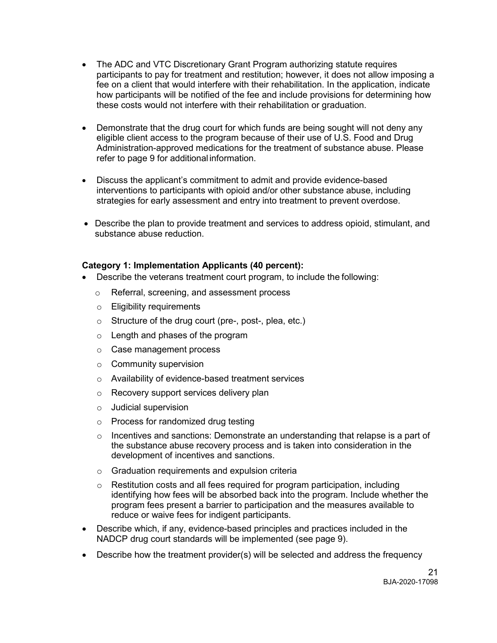- The ADC and VTC Discretionary Grant Program authorizing statute requires participants to pay for treatment and restitution; however, it does not allow imposing a fee on a client that would interfere with their rehabilitation. In the application, indicate how participants will be notified of the fee and include provisions for determining how these costs would not interfere with their rehabilitation or graduation.
- Demonstrate that the drug court for which funds are being sought will not deny any eligible client access to the program because of their use of U.S. Food and Drug Administration-approved medications for the treatment of substance abuse. Please refer to page 9 for additional information.
- Discuss the applicant's commitment to admit and provide evidence-based interventions to participants with opioid and/or other substance abuse, including strategies for early assessment and entry into treatment to prevent overdose.
- Describe the plan to provide treatment and services to address opioid, stimulant, and substance abuse reduction.

### **Category 1: Implementation Applicants (40 percent):**

- Describe the veterans treatment court program, to include the following:
	- o Referral, screening, and assessment process
	- o Eligibility requirements
	- o Structure of the drug court (pre-, post-, plea, etc.)
	- o Length and phases of the program
	- o Case management process
	- $\circ$  Community supervision
	- o Availability of evidence-based treatment services
	- o Recovery support services delivery plan
	- o Judicial supervision
	- o Process for randomized drug testing
	- $\circ$  Incentives and sanctions: Demonstrate an understanding that relapse is a part of the substance abuse recovery process and is taken into consideration in the development of incentives and sanctions.
	- o Graduation requirements and expulsion criteria
	- o Restitution costs and all fees required for program participation, including identifying how fees will be absorbed back into the program. Include whether the program fees present a barrier to participation and the measures available to reduce or waive fees for indigent participants.
- Describe which, if any, evidence-based principles and practices included in the NADCP drug court standards will be implemented (see page 9).
- Describe how the treatment provider(s) will be selected and address the frequency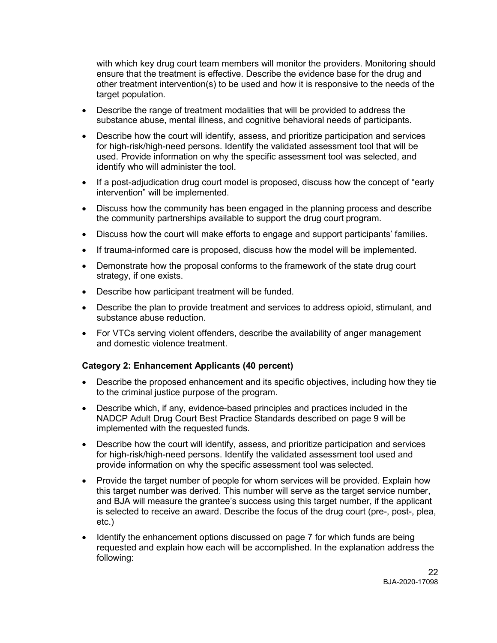with which key drug court team members will monitor the providers. Monitoring should ensure that the treatment is effective. Describe the evidence base for the drug and other treatment intervention(s) to be used and how it is responsive to the needs of the target population.

- Describe the range of treatment modalities that will be provided to address the substance abuse, mental illness, and cognitive behavioral needs of participants.
- Describe how the court will identify, assess, and prioritize participation and services for high-risk/high-need persons. Identify the validated assessment tool that will be used. Provide information on why the specific assessment tool was selected, and identify who will administer the tool.
- If a post-adjudication drug court model is proposed, discuss how the concept of "early intervention" will be implemented.
- Discuss how the community has been engaged in the planning process and describe the community partnerships available to support the drug court program.
- Discuss how the court will make efforts to engage and support participants' families.
- If trauma-informed care is proposed, discuss how the model will be implemented.
- Demonstrate how the proposal conforms to the framework of the state drug court strategy, if one exists.
- Describe how participant treatment will be funded.
- Describe the plan to provide treatment and services to address opioid, stimulant, and substance abuse reduction.
- For VTCs serving violent offenders, describe the availability of anger management and domestic violence treatment.

### **Category 2: Enhancement Applicants (40 percent)**

- Describe the proposed enhancement and its specific objectives, including how they tie to the criminal justice purpose of the program.
- Describe which, if any, evidence-based principles and practices included in the NADCP Adult Drug Court Best Practice Standards described on page 9 will be implemented with the requested funds*.*
- Describe how the court will identify, assess, and prioritize participation and services for high-risk/high-need persons. Identify the validated assessment tool used and provide information on why the specific assessment tool was selected.
- Provide the target number of people for whom services will be provided. Explain how this target number was derived. This number will serve as the target service number, and BJA will measure the grantee's success using this target number, if the applicant is selected to receive an award. Describe the focus of the drug court (pre-, post-, plea, etc.)
- Identify the enhancement options discussed on page 7 for which funds are being requested and explain how each will be accomplished. In the explanation address the following: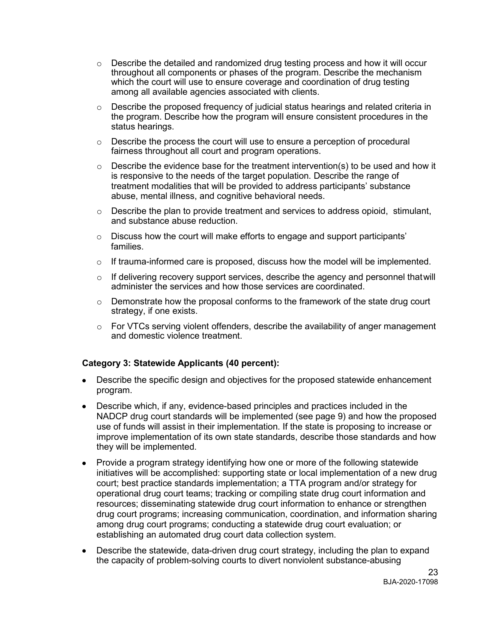- o Describe the detailed and randomized drug testing process and how it will occur throughout all components or phases of the program. Describe the mechanism which the court will use to ensure coverage and coordination of drug testing among all available agencies associated with clients.
- $\circ$  Describe the proposed frequency of judicial status hearings and related criteria in the program. Describe how the program will ensure consistent procedures in the status hearings.
- $\circ$  Describe the process the court will use to ensure a perception of procedural fairness throughout all court and program operations.
- $\circ$  Describe the evidence base for the treatment intervention(s) to be used and how it is responsive to the needs of the target population. Describe the range of treatment modalities that will be provided to address participants' substance abuse, mental illness, and cognitive behavioral needs.
- $\circ$  Describe the plan to provide treatment and services to address opioid, stimulant, and substance abuse reduction.
- $\circ$  Discuss how the court will make efforts to engage and support participants' families.
- $\circ$  If trauma-informed care is proposed, discuss how the model will be implemented.
- $\circ$  If delivering recovery support services, describe the agency and personnel that will administer the services and how those services are coordinated.
- $\circ$  Demonstrate how the proposal conforms to the framework of the state drug court strategy, if one exists.
- $\circ$  For VTCs serving violent offenders, describe the availability of anger management and domestic violence treatment.

### **Category 3: Statewide Applicants (40 percent):**

- Describe the specific design and objectives for the proposed statewide enhancement program.
- Describe which, if any, evidence-based principles and practices included in the NADCP drug court standards will be implemented (see page 9) and how the proposed use of funds will assist in their implementation. If the state is proposing to increase or improve implementation of its own state standards, describe those standards and how they will be implemented.
- Provide a program strategy identifying how one or more of the following statewide initiatives will be accomplished: supporting state or local implementation of a new drug court; best practice standards implementation; a TTA program and/or strategy for operational drug court teams; tracking or compiling state drug court information and resources; disseminating statewide drug court information to enhance or strengthen drug court programs; increasing communication, coordination, and information sharing among drug court programs; conducting a statewide drug court evaluation; or establishing an automated drug court data collection system.
- Describe the statewide, data-driven drug court strategy, including the plan to expand the capacity of problem-solving courts to divert nonviolent substance-abusing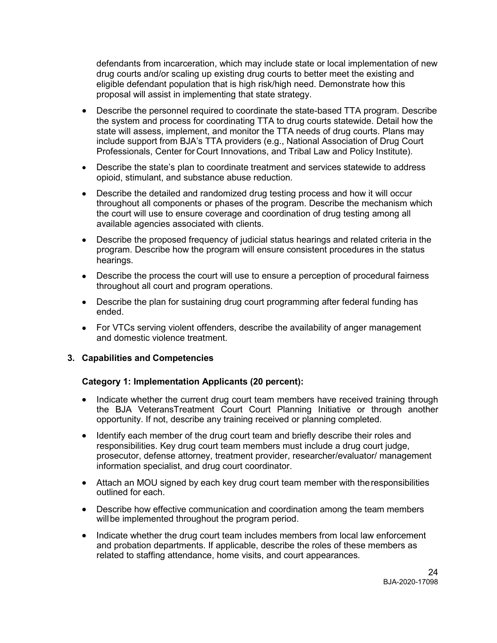defendants from incarceration, which may include state or local implementation of new drug courts and/or scaling up existing drug courts to better meet the existing and eligible defendant population that is high risk/high need. Demonstrate how this proposal will assist in implementing that state strategy.

- Describe the personnel required to coordinate the state-based TTA program. Describe the system and process for coordinating TTA to drug courts statewide. Detail how the state will assess, implement, and monitor the TTA needs of drug courts. Plans may include support from BJA's TTA providers (e.g., National Association of Drug Court Professionals, Center for Court Innovations, and Tribal Law and Policy Institute).
- Describe the state's plan to coordinate treatment and services statewide to address opioid, stimulant, and substance abuse reduction.
- Describe the detailed and randomized drug testing process and how it will occur throughout all components or phases of the program. Describe the mechanism which the court will use to ensure coverage and coordination of drug testing among all available agencies associated with clients.
- Describe the proposed frequency of judicial status hearings and related criteria in the program. Describe how the program will ensure consistent procedures in the status hearings.
- Describe the process the court will use to ensure a perception of procedural fairness throughout all court and program operations.
- Describe the plan for sustaining drug court programming after federal funding has ended.
- For VTCs serving violent offenders, describe the availability of anger management and domestic violence treatment.

### **3. Capabilities and Competencies**

### **Category 1: Implementation Applicants (20 percent):**

- Indicate whether the current drug court team members have received training through the BJA VeteransTreatment Court Court Planning Initiative or through another opportunity. If not, describe any training received or planning completed.
- Identify each member of the drug court team and briefly describe their roles and responsibilities. Key drug court team members must include a drug court judge, prosecutor, defense attorney, treatment provider, researcher/evaluator/ management information specialist, and drug court coordinator.
- Attach an MOU signed by each key drug court team member with theresponsibilities outlined for each.
- Describe how effective communication and coordination among the team members will be implemented throughout the program period.
- Indicate whether the drug court team includes members from local law enforcement and probation departments. If applicable, describe the roles of these members as related to staffing attendance, home visits, and court appearances.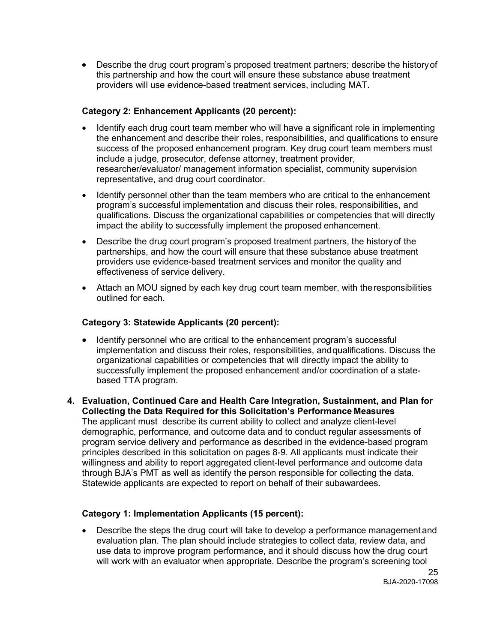• Describe the drug court program's proposed treatment partners; describe the historyof this partnership and how the court will ensure these substance abuse treatment providers will use evidence-based treatment services, including MAT.

### **Category 2: Enhancement Applicants (20 percent):**

- Identify each drug court team member who will have a significant role in implementing the enhancement and describe their roles, responsibilities, and qualifications to ensure success of the proposed enhancement program. Key drug court team members must include a judge, prosecutor, defense attorney, treatment provider, researcher/evaluator/ management information specialist, community supervision representative, and drug court coordinator.
- Identify personnel other than the team members who are critical to the enhancement program's successful implementation and discuss their roles, responsibilities, and qualifications. Discuss the organizational capabilities or competencies that will directly impact the ability to successfully implement the proposed enhancement.
- Describe the drug court program's proposed treatment partners, the historyof the partnerships, and how the court will ensure that these substance abuse treatment providers use evidence-based treatment services and monitor the quality and effectiveness of service delivery.
- Attach an MOU signed by each key drug court team member, with theresponsibilities outlined for each.

### **Category 3: Statewide Applicants (20 percent):**

- Identify personnel who are critical to the enhancement program's successful implementation and discuss their roles, responsibilities, andqualifications. Discuss the organizational capabilities or competencies that will directly impact the ability to successfully implement the proposed enhancement and/or coordination of a statebased TTA program.
- **4. Evaluation, Continued Care and Health Care Integration, Sustainment, and Plan for Collecting the Data Required for this Solicitation's Performance Measures** The applicant must describe its current ability to collect and analyze client-level demographic, performance, and outcome data and to conduct regular assessments of program service delivery and performance as described in the evidence-based program principles described in this solicitation on pages 8-9. All applicants must indicate their willingness and ability to report aggregated client-level performance and outcome data through BJA's PMT as well as identify the person responsible for collecting the data. Statewide applicants are expected to report on behalf of their subawardees.

### **Category 1: Implementation Applicants (15 percent):**

• Describe the steps the drug court will take to develop a performance management and evaluation plan. The plan should include strategies to collect data, review data, and use data to improve program performance, and it should discuss how the drug court will work with an evaluator when appropriate. Describe the program's screening tool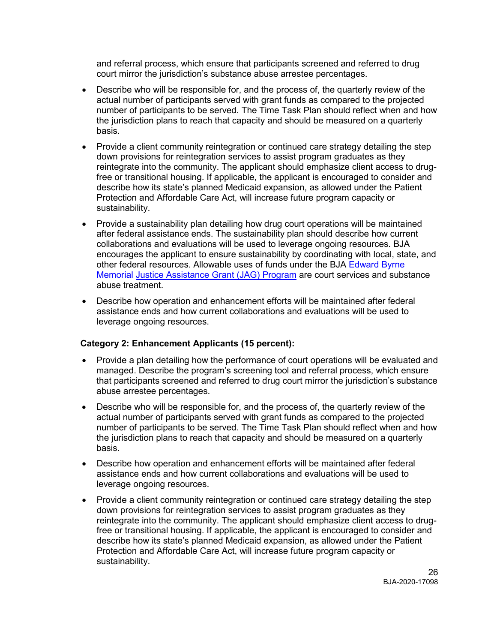and referral process, which ensure that participants screened and referred to drug court mirror the jurisdiction's substance abuse arrestee percentages.

- Describe who will be responsible for, and the process of, the quarterly review of the actual number of participants served with grant funds as compared to the projected number of participants to be served. The Time Task Plan should reflect when and how the jurisdiction plans to reach that capacity and should be measured on a quarterly basis.
- Provide a client community reintegration or continued care strategy detailing the step down provisions for reintegration services to assist program graduates as they reintegrate into the community. The applicant should emphasize client access to drugfree or transitional housing. If applicable, the applicant is encouraged to consider and describe how its state's planned Medicaid expansion, as allowed under the Patient Protection and Affordable Care Act, will increase future program capacity or sustainability.
- Provide a sustainability plan detailing how drug court operations will be maintained after federal assistance ends. The sustainability plan should describe how current collaborations and evaluations will be used to leverage ongoing resources. BJA encourages the applicant to ensure sustainability by coordinating with local, state, and other federal resources. Allowable uses of funds under the BJA Edward Byrne Memorial [Justice Assistance Grant](https://www.bja.gov/ProgramDetails.aspx?Program_ID=59) [\(JAG\) Program](https://www.bja.gov/ProgramDetails.aspx?Program_ID=59) are court services and substance abuse treatment.
- Describe how operation and enhancement efforts will be maintained after federal assistance ends and how current collaborations and evaluations will be used to leverage ongoing resources.

### **Category 2: Enhancement Applicants (15 percent):**

- Provide a plan detailing how the performance of court operations will be evaluated and managed. Describe the program's screening tool and referral process, which ensure that participants screened and referred to drug court mirror the jurisdiction's substance abuse arrestee percentages.
- Describe who will be responsible for, and the process of, the quarterly review of the actual number of participants served with grant funds as compared to the projected number of participants to be served. The Time Task Plan should reflect when and how the jurisdiction plans to reach that capacity and should be measured on a quarterly basis.
- Describe how operation and enhancement efforts will be maintained after federal assistance ends and how current collaborations and evaluations will be used to leverage ongoing resources.
- Provide a client community reintegration or continued care strategy detailing the step down provisions for reintegration services to assist program graduates as they reintegrate into the community. The applicant should emphasize client access to drugfree or transitional housing. If applicable, the applicant is encouraged to consider and describe how its state's planned Medicaid expansion, as allowed under the Patient Protection and Affordable Care Act, will increase future program capacity or sustainability.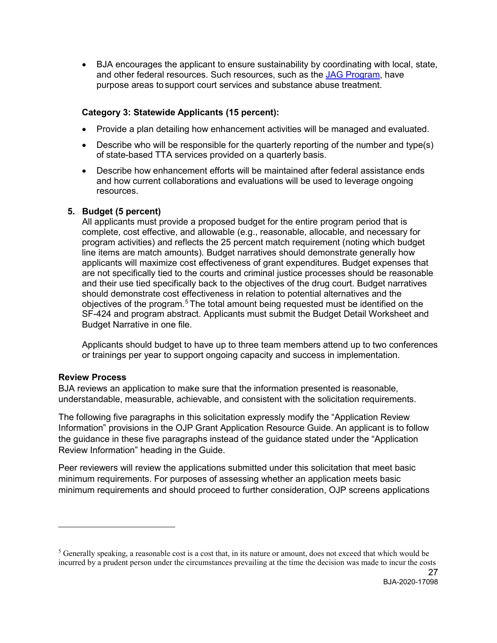• BJA encourages the applicant to ensure sustainability by coordinating with local, state, and other federal resources. Such resources, such as the [JAG](https://www.bja.gov/ProgramDetails.aspx?Program_ID=59) Program, have purpose areas tosupport court services and substance abuse treatment.

### **Category 3: Statewide Applicants (15 percent):**

- Provide a plan detailing how enhancement activities will be managed and evaluated.
- Describe who will be responsible for the quarterly reporting of the number and type(s) of state-based TTA services provided on a quarterly basis.
- Describe how enhancement efforts will be maintained after federal assistance ends and how current collaborations and evaluations will be used to leverage ongoing resources.

### **5. Budget (5 percent)**

All applicants must provide a proposed budget for the entire program period that is complete, cost effective, and allowable (e.g., reasonable, allocable, and necessary for program activities) and reflects the 25 percent match requirement (noting which budget line items are match amounts). Budget narratives should demonstrate generally how applicants will maximize cost effectiveness of grant expenditures. Budget expenses that are not specifically tied to the courts and criminal justice processes should be reasonable and their use tied specifically back to the objectives of the drug court. Budget narratives should demonstrate cost effectiveness in relation to potential alternatives and the objectives of the program.[5](#page-26-0) The total amount being requested must be identified on the SF-424 and program abstract. Applicants must submit the Budget Detail Worksheet and Budget Narrative in one file.

Applicants should budget to have up to three team members attend up to two conferences or trainings per year to support ongoing capacity and success in implementation.

### **Review Process**

 $\overline{a}$ 

BJA reviews an application to make sure that the information presented is reasonable, understandable, measurable, achievable, and consistent with the solicitation requirements.

The following five paragraphs in this solicitation expressly modify the "Application Review Information" provisions in the OJP Grant Application Resource Guide. An applicant is to follow the guidance in these five paragraphs instead of the guidance stated under the "Application Review Information" heading in the Guide.

Peer reviewers will review the applications submitted under this solicitation that meet basic minimum requirements. For purposes of assessing whether an application meets basic minimum requirements and should proceed to further consideration, OJP screens applications

<span id="page-26-0"></span> $5$  Generally speaking, a reasonable cost is a cost that, in its nature or amount, does not exceed that which would be incurred by a prudent person under the circumstances prevailing at the time the decision was made to incur the costs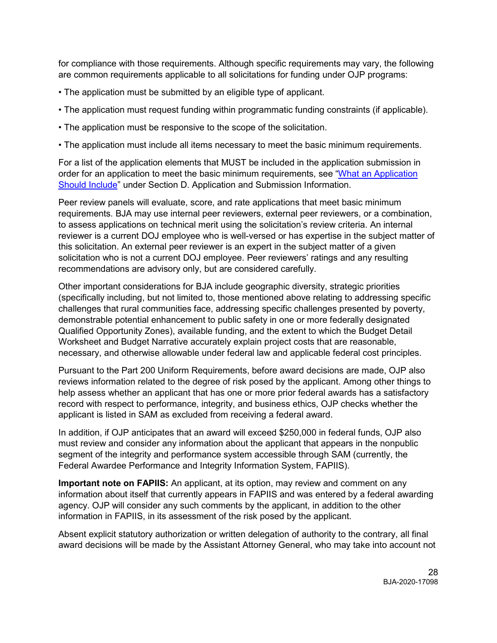for compliance with those requirements. Although specific requirements may vary, the following are common requirements applicable to all solicitations for funding under OJP programs:

- The application must be submitted by an eligible type of applicant.
- The application must request funding within programmatic funding constraints (if applicable).
- The application must be responsive to the scope of the solicitation.
- The application must include all items necessary to meet the basic minimum requirements.

For a list of the application elements that MUST be included in the application submission in order for an application to meet the basic minimum requirements, see ["What an Application](#page-11-2)  [Should Include"](#page-11-2) under Section D. Application and Submission Information.

Peer review panels will evaluate, score, and rate applications that meet basic minimum requirements. BJA may use internal peer reviewers, external peer reviewers, or a combination, to assess applications on technical merit using the solicitation's review criteria. An internal reviewer is a current DOJ employee who is well-versed or has expertise in the subject matter of this solicitation. An external peer reviewer is an expert in the subject matter of a given solicitation who is not a current DOJ employee. Peer reviewers' ratings and any resulting recommendations are advisory only, but are considered carefully.

Other important considerations for BJA include geographic diversity, strategic priorities (specifically including, but not limited to, those mentioned above relating to addressing specific challenges that rural communities face, addressing specific challenges presented by poverty, demonstrable potential enhancement to public safety in one or more federally designated Qualified Opportunity Zones), available funding, and the extent to which the Budget Detail Worksheet and Budget Narrative accurately explain project costs that are reasonable, necessary, and otherwise allowable under federal law and applicable federal cost principles.

Pursuant to the Part 200 Uniform Requirements, before award decisions are made, OJP also reviews information related to the degree of risk posed by the applicant. Among other things to help assess whether an applicant that has one or more prior federal awards has a satisfactory record with respect to performance, integrity, and business ethics, OJP checks whether the applicant is listed in SAM as excluded from receiving a federal award.

In addition, if OJP anticipates that an award will exceed \$250,000 in federal funds, OJP also must review and consider any information about the applicant that appears in the nonpublic segment of the integrity and performance system accessible through SAM (currently, the Federal Awardee Performance and Integrity Information System, FAPIIS).

**Important note on FAPIIS:** An applicant, at its option, may review and comment on any information about itself that currently appears in FAPIIS and was entered by a federal awarding agency. OJP will consider any such comments by the applicant, in addition to the other information in FAPIIS, in its assessment of the risk posed by the applicant.

Absent explicit statutory authorization or written delegation of authority to the contrary, all final award decisions will be made by the Assistant Attorney General, who may take into account not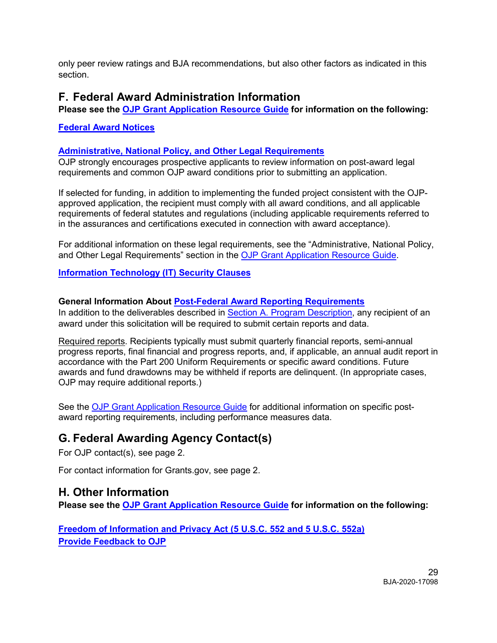only peer review ratings and BJA recommendations, but also other factors as indicated in this section.

### <span id="page-28-0"></span>**F. Federal Award Administration Information**

<span id="page-28-1"></span>**Please see the [OJP Grant Application Resource Guide](https://ojp.gov/funding/Apply/Resources/Grant-App-Resource-Guide.htm) for information on the following:**

**[Federal Award](https://www.ojp.gov/funding/Apply/Resources/Grant-App-Resource-Guide.htm#awardNotices) Notices**

### <span id="page-28-2"></span>**[Administrative, National Policy, and Other Legal Requirements](https://www.ojp.gov/funding/Apply/Resources/Grant-App-Resource-Guide.htm#otherLegalRequirements)**

OJP strongly encourages prospective applicants to review information on post-award legal requirements and common OJP award conditions prior to submitting an application.

If selected for funding, in addition to implementing the funded project consistent with the OJPapproved application, the recipient must comply with all award conditions, and all applicable requirements of federal statutes and regulations (including applicable requirements referred to in the assurances and certifications executed in connection with award acceptance).

For additional information on these legal requirements, see the "Administrative, National Policy, and Other Legal Requirements" section in the [OJP Grant Application Resource Guide.](https://www.ojp.gov/funding/Apply/Resources/Grant-App-Resource-Guide.htm)

### <span id="page-28-3"></span>**[Information Technology \(IT\) Security Clauses](https://www.ojp.gov/funding/Apply/Resources/Grant-App-Resource-Guide.htm#securityClauses)**

### <span id="page-28-4"></span>**General Information About [Post-Federal Award Reporting Requirements](https://www.ojp.gov/funding/Apply/Resources/Grant-App-Resource-Guide.htm#awardReportingRequirements)**

In addition to the deliverables described in Section A. Program Description, any recipient of an award under this solicitation will be required to submit certain reports and data.

Required reports. Recipients typically must submit quarterly financial reports, semi-annual progress reports, final financial and progress reports, and, if applicable, an annual audit report in accordance with the Part 200 Uniform Requirements or specific award conditions. Future awards and fund drawdowns may be withheld if reports are delinquent. (In appropriate cases, OJP may require additional reports.)

See the [OJP Grant Application Resource Guide](https://www.ojp.gov/funding/Apply/Resources/Grant-App-Resource-Guide.htm#awardReportingRequirements) for additional information on specific postaward reporting requirements, including performance measures data.

# <span id="page-28-5"></span>**G. Federal Awarding Agency Contact(s)**

For OJP contact(s), see page 2.

For contact information for Grants.gov, see page 2.

### <span id="page-28-6"></span>**H. Other Information**

<span id="page-28-7"></span>**Please see the [OJP Grant Application Resource Guide](https://ojp.gov/funding/Apply/Resources/Grant-App-Resource-Guide.htm) for information on the following:**

**[Freedom of Information and Privacy Act \(5 U.S.C. 552 and 5 U.S.C. 552a\)](https://www.ojp.gov/funding/Apply/Resources/Grant-App-Resource-Guide.htm#foia) [Provide Feedback to OJP](https://www.ojp.gov/funding/Apply/Resources/Grant-App-Resource-Guide.htm#feedback)**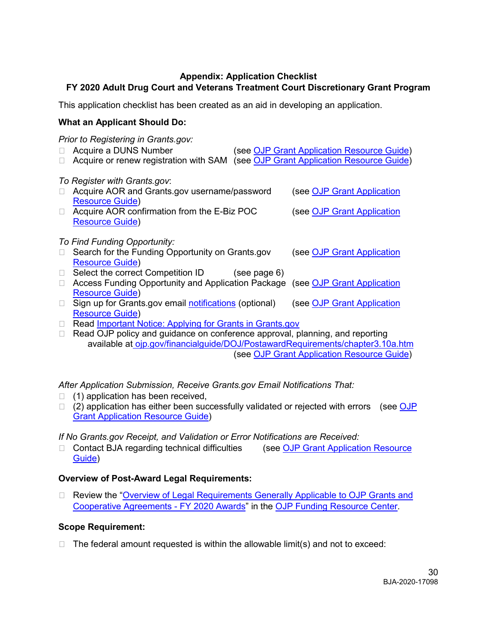### **Appendix: Application Checklist**

### <span id="page-29-0"></span>**FY 2020 Adult Drug Court and Veterans Treatment Court Discretionary Grant Program**

This application checklist has been created as an aid in developing an application.

### **What an Applicant Should Do:**

*Prior to Registering in Grants.gov:*

- □ Acquire a DUNS Number (see [OJP Grant Application Resource Guide\)](https://www.ojp.gov/funding/Apply/Resources/Grant-App-Resource-Guide.htm#howToApply)
- □ Acquire or renew registration with SAM (see [OJP Grant Application Resource Guide\)](https://www.ojp.gov/funding/Apply/Resources/Grant-App-Resource-Guide.htm#howToApply)

*To Register with Grants.gov*:

- □ Acquire AOR and Grants.gov username/password (see OJP Grant Application [Resource Guide\)](https://www.ojp.gov/funding/Apply/Resources/Grant-App-Resource-Guide.htm#howToApply) □ Acquire AOR confirmation from the E-Biz POC (see OJP Grant Application [Resource Guide\)](https://www.ojp.gov/funding/Apply/Resources/Grant-App-Resource-Guide.htm#howToApply) *To Find Funding Opportunity:* □ Search for the Funding Opportunity on Grants.gov (see OJP Grant Application [Resource Guide\)](https://www.ojp.gov/funding/Apply/Resources/Grant-App-Resource-Guide.htm#howToApply)  $\Box$  Select the correct Competition ID (see page 6)
- □ Access Funding Opportunity and Application Package (see OJP Grant Application [Resource Guide\)](https://www.ojp.gov/funding/Apply/Resources/Grant-App-Resource-Guide.htm#howToApply)
- □ Sign up for Grants.gov email [notifications](https://www.grants.gov/web/grants/manage-subscriptions.html) (optional) (see OJP Grant Application [Resource Guide\)](https://www.ojp.gov/funding/Apply/Resources/Grant-App-Resource-Guide.htm#howToApply)
- Read [Important Notice: Applying for Grants in Grants.gov](https://ojp.gov/funding/Apply/Grants-govInfo.htm)
- □ Read OJP policy and guidance on conference approval, planning, and reporting available at [ojp.gov/financialguide/DOJ/PostawardRequirements/chapter3.10a.htm](https://ojp.gov/financialguide/DOJ/PostawardRequirements/chapter3.10a.htm) (see [OJP Grant Application Resource Guide\)](https://www.ojp.gov/funding/Apply/Resources/Grant-App-Resource-Guide.htm#reportingCosts)

*After Application Submission, Receive Grants.gov Email Notifications That:*

- $\Box$  (1) application has been received,
- $\Box$  (2) application has either been successfully validated or rejected with errors (see OJP [Grant Application Resource Guide\)](https://www.ojp.gov/funding/Apply/Resources/Grant-App-Resource-Guide.htm#submissionSteps)

*If No Grants.gov Receipt, and Validation or Error Notifications are Received:*

□ Contact BJA regarding technical difficulties (see OJP Grant Application Resource [Guide\)](https://www.ojp.gov/funding/Apply/Resources/Grant-App-Resource-Guide.htm#submissionSteps)

### **Overview of Post-Award Legal Requirements:**

□ Review the "Overview of Legal Requirements Generally Applicable to OJP Grants and [Cooperative Agreements -](https://www.ojp.gov/funding/Explore/LegalOverview2020/index.htm) FY 2020 Awards" in the [OJP Funding Resource Center.](https://www.ojp.gov/funding/index.htm)

### **Scope Requirement:**

 $\Box$  The federal amount requested is within the allowable limit(s) and not to exceed: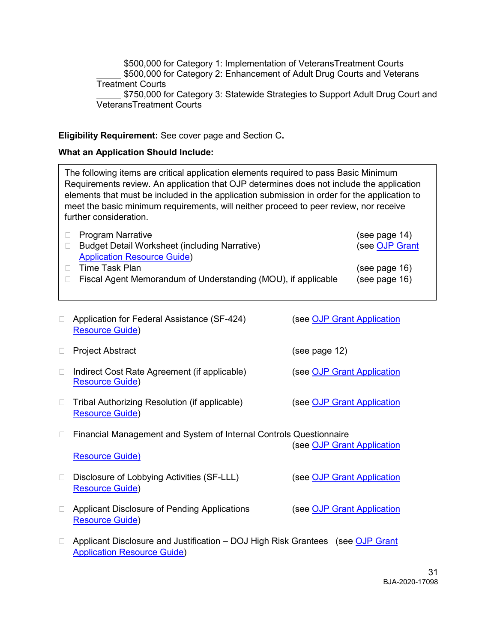\$500,000 for Category 1: Implementation of VeteransTreatment Courts \$500,000 for Category 2: Enhancement of Adult Drug Courts and Veterans Treatment Courts \$750,000 for Category 3: Statewide Strategies to Support Adult Drug Court and VeteransTreatment Courts

### **Eligibility Requirement:** See cover page and Section C**.**

### **What an Application Should Include:**

The following items are critical application elements required to pass Basic Minimum Requirements review. An application that OJP determines does not include the application elements that must be included in the application submission in order for the application to meet the basic minimum requirements, will neither proceed to peer review, nor receive further consideration.

| □ Program Narrative                                           | (see page $14$ ) |
|---------------------------------------------------------------|------------------|
| Budget Detail Worksheet (including Narrative)                 | (see OJP Grant   |
| <b>Application Resource Guide)</b>                            |                  |
| $\Box$ Time Task Plan                                         | (see page $16$ ) |
| Fiscal Agent Memorandum of Understanding (MOU), if applicable | (see page 16)    |

| $\mathbb{R}^n$ | Application for Federal Assistance (SF-424)<br><b>Resource Guide)</b>                                                | (see OJP Grant Application        |
|----------------|----------------------------------------------------------------------------------------------------------------------|-----------------------------------|
| $\Box$         | <b>Project Abstract</b>                                                                                              | (see page 12)                     |
| П              | Indirect Cost Rate Agreement (if applicable)<br><b>Resource Guide)</b>                                               | (see OJP Grant Application        |
| $\Box$         | Tribal Authorizing Resolution (if applicable)<br><b>Resource Guide)</b>                                              | (see <u>OJP Grant Application</u> |
| $\Box$         | Financial Management and System of Internal Controls Questionnaire                                                   | see OJP Grant Application         |
|                | <b>Resource Guide)</b>                                                                                               |                                   |
| $\Box$         | Disclosure of Lobbying Activities (SF-LLL)<br><b>Resource Guide)</b>                                                 | (see OJP Grant Application        |
| $\Box$         | Applicant Disclosure of Pending Applications<br><b>Resource Guide)</b>                                               | (see OJP Grant Application        |
| $\Box$         | Applicant Disclosure and Justification – DOJ High Risk Grantees (see OJP Grant<br><b>Application Resource Guide)</b> |                                   |